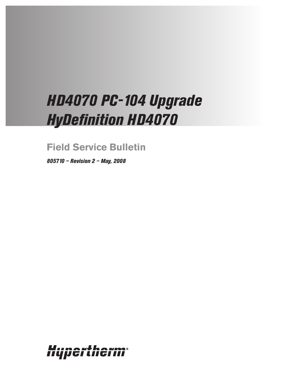# *HD4070 PC-104 Upgrade HyDefinition HD4070*

**Field Service Bulletin**

*805710 – Revision 2 – May, 2008*

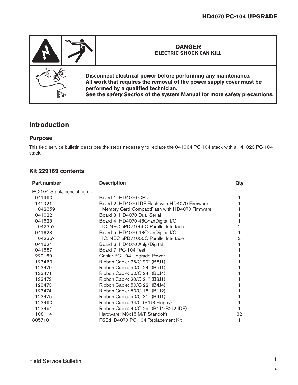

## **Introduction**

#### **Purpose**

This field service bulletin describes the steps necessary to replace the 041664 PC-104 stack with a 141023 PC-104 stack.

### **Kit 229169 contents**

| <b>Part number</b>           | <b>Description</b>                              | Qty |
|------------------------------|-------------------------------------------------|-----|
| PC-104 Stack, consisting of: |                                                 |     |
| 041990                       | Board 1: HD4070 CPU                             |     |
| 141021                       | Board 2: HD4070 IDE Flash with HD4070 Firmware  |     |
| 042359                       | Memory Card: Compact Flash with HD4070 Firmware |     |
| 041622                       | Board 3: HD4070 Dual Serial                     |     |
| 041623                       | Board 4: HD4070 48ChanDigital I/O               |     |
| 042357                       | IC: NEC uPD71055C Parallel Interface            | 2   |
| 041623                       | Board 5: HD4070 48ChanDigital I/O               |     |
| 042357                       | IC: NEC uPD71055C Parallel Interface            | 2   |
| 041624                       | Board 6: HD4070 Anlg/Digital                    |     |
| 041687                       | Board 7: PC-104 Test                            |     |
| 229169                       | Cable: PC-104 Upgrade Power                     |     |
| 123469                       | Ribbon Cable: 26/C 20" (B6J1)                   |     |
| 123470                       | Ribbon Cable: 50/C 24" (B5J1)                   |     |
| 123471                       | Ribbon Cable: 50/C 24" (B5J4)                   |     |
| 123472                       | Ribbon Cable: 20/C 21" (B3J1)                   |     |
| 123473                       | Ribbon Cable: 50/C 22" (B4J4)                   |     |
| 123474                       | Ribbon Cable: 50/C 18" (B1J2)                   |     |
| 123475                       | Ribbon Cable: 50/C 31" (B4J1)                   |     |
| 123490                       | Ribbon Cable: 34/C (B1J3 Floppy)                |     |
| 123491                       | Ribbon Cable: 40/C 25" (B1J4-B2J2 IDE)          |     |
| 108114                       | Hardware: M3x15 M/F Standoffs                   | 32  |
| 805710                       | FSB:HD4070 PC-104 Replacement Kit               |     |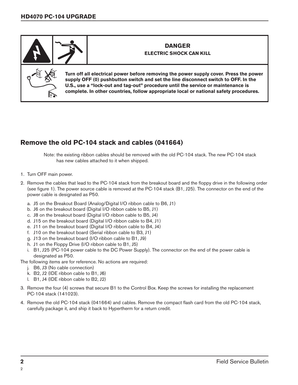

## **Remove the old PC-104 stack and cables (041664)**

Note: the existing ribbon cables should be removed with the old PC-104 stack. The new PC-104 stack has new cables attached to it when shipped.

- 1. Turn OFF main power.
- 2. Remove the cables that lead to the PC-104 stack from the breakout board and the floppy drive in the following order (see figure 1). The power source cable is removed at the PC-104 stack (B1, J25). The connector on the end of the power cable is designated as P50.
	- a. J5 on the Breakout Board (Analog/Digital I/O ribbon cable to B6, J1)
	- b. J6 on the breakout board (Digital I/O ribbon cable to B5, J1)
	- c. J8 on the breakout board (Digital I/O ribbon cable to B5, J4)
	- d. J15 on the breakout board (Digital I/O ribbon cable to B4, J1)
	- e. J11 on the breakout board (Digital I/O ribbon cable to B4, J4)
	- f. J10 on the breakout board (Serial ribbon cable to B3, J1)
	- g. J13 on the breakout board (I/O ribbon cable to B1, J9)
	- h. J1 on the Floppy Drive (I/O ribbon cable to B1, J5)
	- i. B1, J25 (PC-104 power cable to the DC Power Supply). The connector on the end of the power cable is designated as P50.

The following items are for reference. No actions are required:

- j. B6, J3 (No cable connection)
- k. B2, J2 (IDE ribbon cable to B1, J6)
- l. B1, J4 (IDE ribbon cable to B2, J2)
- 3. Remove the four (4) screws that secure B1 to the Control Box. Keep the screws for installing the replacement PC-104 stack (141023).
- 4. Remove the old PC-104 stack (041664) and cables. Remove the compact flash card from the old PC-104 stack, carefully package it, and ship it back to Hypertherm for a return credit.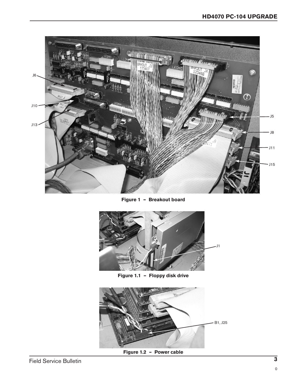

**Figure 1 – Breakout board**



**Figure 1.1 – Floppy disk drive**



**Figure 1.2 – Power cable**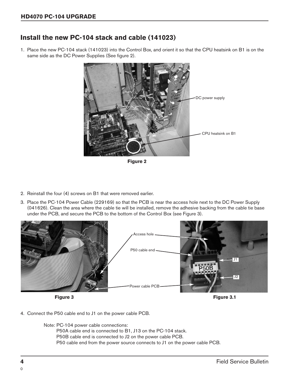## **Install the new PC-104 stack and cable (141023)**

1. Place the new PC-104 stack (141023) into the Control Box, and orient it so that the CPU heatsink on B1 is on the same side as the DC Power Supplies (See figure 2).



**Figure 2**

- 2. Reinstall the four (4) screws on B1 that were removed earlier.
- 3. Place the PC-104 Power Cable (229169) so that the PCB is near the access hole next to the DC Power Supply (041626). Clean the area where the cable tie will be installed, remove the adhesive backing from the cable tie base under the PCB, and secure the PCB to the bottom of the Control Box (see Figure 3).



4. Connect the P50 cable end to J1 on the power cable PCB.

Note: PC-104 power cable connections:

P50A cable end is connected to B1, J13 on the PC-104 stack. P50B cable end is connected to J2 on the power cable PCB.

P50 cable end from the power source connects to J1 on the power cable PCB.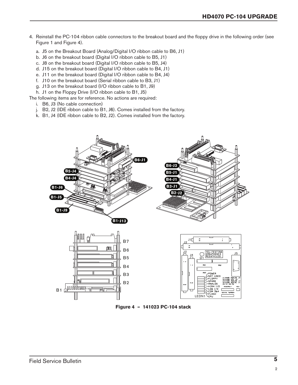- 4. Reinstall the PC-104 ribbon cable connectors to the breakout board and the floppy drive in the following order (see Figure 1 and Figure 4).
	- a. J5 on the Breakout Board (Analog/Digital I/O ribbon cable to B6, J1)
	- b. J6 on the breakout board (Digital I/O ribbon cable to B5, J1)
	- c. J8 on the breakout board (Digital I/O ribbon cable to B5, J4)
	- d. J15 on the breakout board (Digital I/O ribbon cable to B4, J1)
	- e. J11 on the breakout board (Digital I/O ribbon cable to B4, J4)
	- f. J10 on the breakout board (Serial ribbon cable to B3, J1)
	- g. J13 on the breakout board (I/O ribbon cable to B1, J9)
	- h. J1 on the Floppy Drive (I/O ribbon cable to B1, J5)

The following items are for reference. No actions are required:

- i. B6, J3 (No cable connection)
- j. B2, J2 (IDE ribbon cable to B1, J6). Comes installed from the factory.
- k. B1, J4 (IDE ribbon cable to B2, J2). Comes installed from the factory.